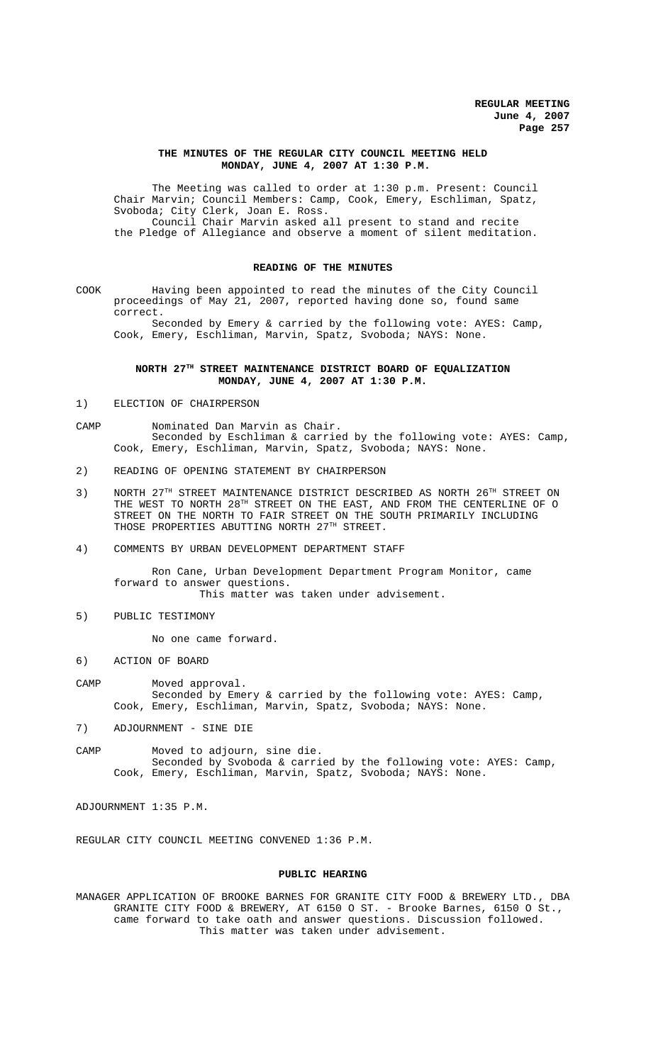### **THE MINUTES OF THE REGULAR CITY COUNCIL MEETING HELD MONDAY, JUNE 4, 2007 AT 1:30 P.M.**

The Meeting was called to order at 1:30 p.m. Present: Council Chair Marvin; Council Members: Camp, Cook, Emery, Eschliman, Spatz, Svoboda; City Clerk, Joan E. Ross. Council Chair Marvin asked all present to stand and recite the Pledge of Allegiance and observe a moment of silent meditation.

### **READING OF THE MINUTES**

COOK Having been appointed to read the minutes of the City Council proceedings of May 21, 2007, reported having done so, found same correct.

Seconded by Emery & carried by the following vote: AYES: Camp, Cook, Emery, Eschliman, Marvin, Spatz, Svoboda; NAYS: None.

## **NORTH 27TH STREET MAINTENANCE DISTRICT BOARD OF EQUALIZATION MONDAY, JUNE 4, 2007 AT 1:30 P.M.**

1) ELECTION OF CHAIRPERSON

CAMP Nominated Dan Marvin as Chair. Seconded by Eschliman & carried by the following vote: AYES: Camp, Cook, Emery, Eschliman, Marvin, Spatz, Svoboda; NAYS: None.

- 2) READING OF OPENING STATEMENT BY CHAIRPERSON
- 3) NORTH 27TH STREET MAINTENANCE DISTRICT DESCRIBED AS NORTH 26TH STREET ON THE WEST TO NORTH  $28^{\text{\tiny{TH}}}$  STREET ON THE EAST, AND FROM THE CENTERLINE OF O STREET ON THE NORTH TO FAIR STREET ON THE SOUTH PRIMARILY INCLUDING THOSE PROPERTIES ABUTTING NORTH 27TH STREET.
- 4) COMMENTS BY URBAN DEVELOPMENT DEPARTMENT STAFF

Ron Cane, Urban Development Department Program Monitor, came forward to answer questions. This matter was taken under advisement.

5) PUBLIC TESTIMONY

No one came forward.

6) ACTION OF BOARD

CAMP Moved approval. Seconded by Emery & carried by the following vote: AYES: Camp, Cook, Emery, Eschliman, Marvin, Spatz, Svoboda; NAYS: None.

- 7) ADJOURNMENT SINE DIE
- CAMP Moved to adjourn, sine die. Seconded by Svoboda & carried by the following vote: AYES: Camp, Cook, Emery, Eschliman, Marvin, Spatz, Svoboda; NAYS: None.

ADJOURNMENT 1:35 P.M.

REGULAR CITY COUNCIL MEETING CONVENED 1:36 P.M.

#### **PUBLIC HEARING**

MANAGER APPLICATION OF BROOKE BARNES FOR GRANITE CITY FOOD & BREWERY LTD., DBA GRANITE CITY FOOD & BREWERY, AT 6150 O ST. - Brooke Barnes, 6150 O St., came forward to take oath and answer questions. Discussion followed. This matter was taken under advisement.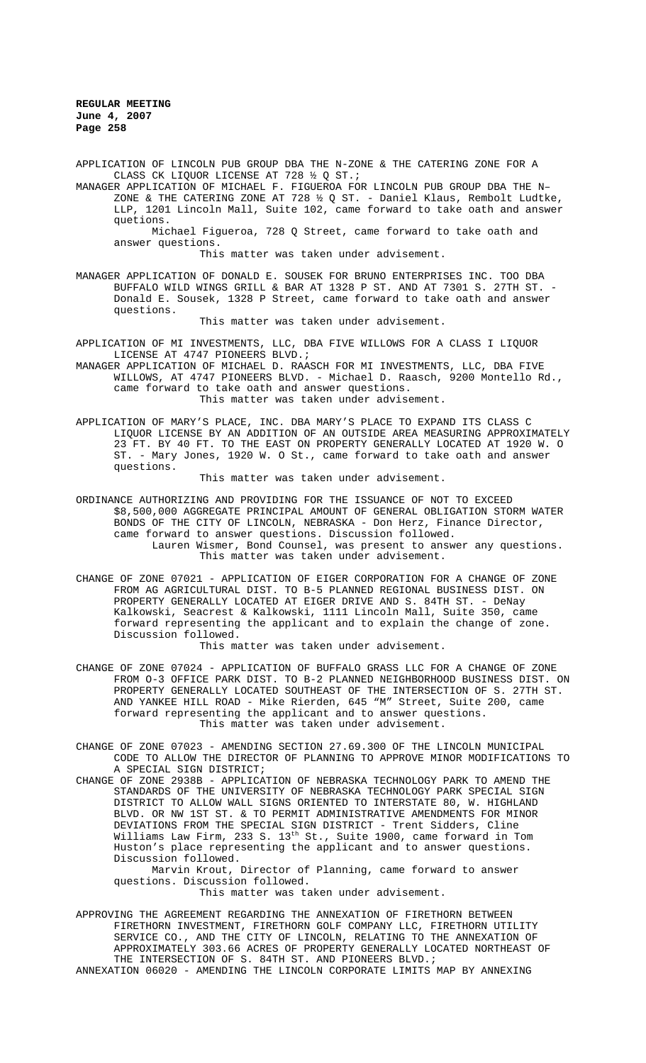APPLICATION OF LINCOLN PUB GROUP DBA THE N-ZONE & THE CATERING ZONE FOR A CLASS CK LIQUOR LICENSE AT 728 ½ Q ST.;

MANAGER APPLICATION OF MICHAEL F. FIGUEROA FOR LINCOLN PUB GROUP DBA THE N– ZONE & THE CATERING ZONE AT 728  $\frac{1}{2}$  Q ST. - Daniel Klaus, Rembolt Ludtke, LLP, 1201 Lincoln Mall, Suite 102, came forward to take oath and answer quetions.

Michael Figueroa, 728 Q Street, came forward to take oath and answer questions.

This matter was taken under advisement.

MANAGER APPLICATION OF DONALD E. SOUSEK FOR BRUNO ENTERPRISES INC. TOO DBA BUFFALO WILD WINGS GRILL & BAR AT 1328 P ST. AND AT 7301 S. 27TH ST. - Donald E. Sousek, 1328 P Street, came forward to take oath and answer questions.

This matter was taken under advisement.

APPLICATION OF MI INVESTMENTS, LLC, DBA FIVE WILLOWS FOR A CLASS I LIQUOR LICENSE AT 4747 PIONEERS BLVD.;

- MANAGER APPLICATION OF MICHAEL D. RAASCH FOR MI INVESTMENTS, LLC, DBA FIVE WILLOWS, AT 4747 PIONEERS BLVD. - Michael D. Raasch, 9200 Montello Rd., came forward to take oath and answer questions. This matter was taken under advisement.
- APPLICATION OF MARY'S PLACE, INC. DBA MARY'S PLACE TO EXPAND ITS CLASS C LIQUOR LICENSE BY AN ADDITION OF AN OUTSIDE AREA MEASURING APPROXIMATELY 23 FT. BY 40 FT. TO THE EAST ON PROPERTY GENERALLY LOCATED AT 1920 W. O ST. - Mary Jones, 1920 W. O St., came forward to take oath and answer questions.

This matter was taken under advisement.

- ORDINANCE AUTHORIZING AND PROVIDING FOR THE ISSUANCE OF NOT TO EXCEED \$8,500,000 AGGREGATE PRINCIPAL AMOUNT OF GENERAL OBLIGATION STORM WATER BONDS OF THE CITY OF LINCOLN, NEBRASKA - Don Herz, Finance Director, came forward to answer questions. Discussion followed. Lauren Wismer, Bond Counsel, was present to answer any questions. This matter was taken under advisement.
- CHANGE OF ZONE 07021 APPLICATION OF EIGER CORPORATION FOR A CHANGE OF ZONE FROM AG AGRICULTURAL DIST. TO B-5 PLANNED REGIONAL BUSINESS DIST. ON PROPERTY GENERALLY LOCATED AT EIGER DRIVE AND S. 84TH ST. - DeNay Kalkowski, Seacrest & Kalkowski, 1111 Lincoln Mall, Suite 350, came forward representing the applicant and to explain the change of zone. Discussion followed.

This matter was taken under advisement.

- CHANGE OF ZONE 07024 APPLICATION OF BUFFALO GRASS LLC FOR A CHANGE OF ZONE FROM O-3 OFFICE PARK DIST. TO B-2 PLANNED NEIGHBORHOOD BUSINESS DIST. ON PROPERTY GENERALLY LOCATED SOUTHEAST OF THE INTERSECTION OF S. 27TH ST. AND YANKEE HILL ROAD - Mike Rierden, 645 "M" Street, Suite 200, came forward representing the applicant and to answer questions. This matter was taken under advisement.
- CHANGE OF ZONE 07023 AMENDING SECTION 27.69.300 OF THE LINCOLN MUNICIPAL CODE TO ALLOW THE DIRECTOR OF PLANNING TO APPROVE MINOR MODIFICATIONS TO A SPECIAL SIGN DISTRICT;
- CHANGE OF ZONE 2938B APPLICATION OF NEBRASKA TECHNOLOGY PARK TO AMEND THE STANDARDS OF THE UNIVERSITY OF NEBRASKA TECHNOLOGY PARK SPECIAL SIGN DISTRICT TO ALLOW WALL SIGNS ORIENTED TO INTERSTATE 80, W. HIGHLAND BLVD. OR NW 1ST ST. & TO PERMIT ADMINISTRATIVE AMENDMENTS FOR MINOR DEVIATIONS FROM THE SPECIAL SIGN DISTRICT - Trent Sidders, Cline Williams Law Firm, 233 S. 13<sup>th</sup> St., Suite 1900, came forward in Tom Huston's place representing the applicant and to answer questions. Discussion followed.

Marvin Krout, Director of Planning, came forward to answer questions. Discussion followed.

This matter was taken under advisement.

APPROVING THE AGREEMENT REGARDING THE ANNEXATION OF FIRETHORN BETWEEN FIRETHORN INVESTMENT, FIRETHORN GOLF COMPANY LLC, FIRETHORN UTILITY SERVICE CO., AND THE CITY OF LINCOLN, RELATING TO THE ANNEXATION OF APPROXIMATELY 303.66 ACRES OF PROPERTY GENERALLY LOCATED NORTHEAST OF THE INTERSECTION OF S. 84TH ST. AND PIONEERS BLVD.;

ANNEXATION 06020 - AMENDING THE LINCOLN CORPORATE LIMITS MAP BY ANNEXING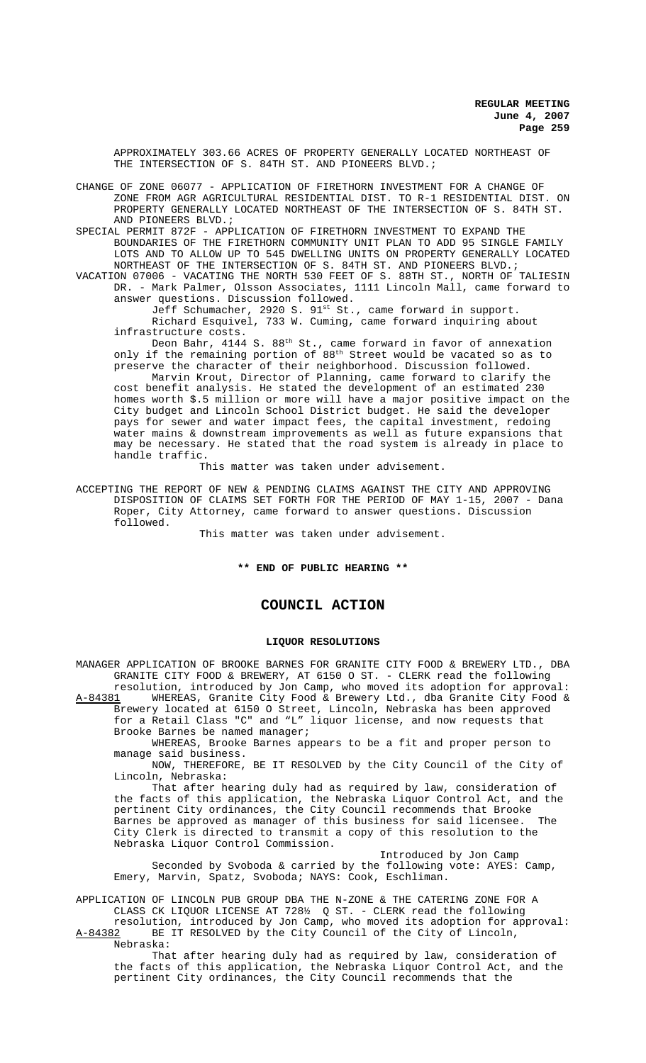APPROXIMATELY 303.66 ACRES OF PROPERTY GENERALLY LOCATED NORTHEAST OF THE INTERSECTION OF S. 84TH ST. AND PIONEERS BLVD.;

CHANGE OF ZONE 06077 - APPLICATION OF FIRETHORN INVESTMENT FOR A CHANGE OF ZONE FROM AGR AGRICULTURAL RESIDENTIAL DIST. TO R-1 RESIDENTIAL DIST. ON PROPERTY GENERALLY LOCATED NORTHEAST OF THE INTERSECTION OF S. 84TH ST. AND PIONEERS BLVD.;

SPECIAL PERMIT 872F - APPLICATION OF FIRETHORN INVESTMENT TO EXPAND THE BOUNDARIES OF THE FIRETHORN COMMUNITY UNIT PLAN TO ADD 95 SINGLE FAMILY LOTS AND TO ALLOW UP TO 545 DWELLING UNITS ON PROPERTY GENERALLY LOCATED NORTHEAST OF THE INTERSECTION OF S. 84TH ST. AND PIONEERS BLVD.;

VACATION 07006 - VACATING THE NORTH 530 FEET OF S. 88TH ST., NORTH OF TALIESIN DR. - Mark Palmer, Olsson Associates, 1111 Lincoln Mall, came forward to answer questions. Discussion followed.

Jeff Schumacher, 2920 S. 91st St., came forward in support. Richard Esquivel, 733 W. Cuming, came forward inquiring about infrastructure costs.

Deon Bahr,  $4144$  S.  $88^{\text{th}}$  St., came forward in favor of annexation only if the remaining portion of 88<sup>th</sup> Street would be vacated so as to preserve the character of their neighborhood. Discussion followed.

Marvin Krout, Director of Planning, came forward to clarify the cost benefit analysis. He stated the development of an estimated 230 homes worth \$.5 million or more will have a major positive impact on the City budget and Lincoln School District budget. He said the developer pays for sewer and water impact fees, the capital investment, redoing water mains & downstream improvements as well as future expansions that may be necessary. He stated that the road system is already in place to handle traffic.

This matter was taken under advisement.

ACCEPTING THE REPORT OF NEW & PENDING CLAIMS AGAINST THE CITY AND APPROVING DISPOSITION OF CLAIMS SET FORTH FOR THE PERIOD OF MAY 1-15, 2007 - Dana Roper, City Attorney, came forward to answer questions. Discussion followed.

This matter was taken under advisement.

**\*\* END OF PUBLIC HEARING \*\***

# **COUNCIL ACTION**

#### **LIQUOR RESOLUTIONS**

MANAGER APPLICATION OF BROOKE BARNES FOR GRANITE CITY FOOD & BREWERY LTD., DBA GRANITE CITY FOOD & BREWERY, AT 6150 O ST. - CLERK read the following resolution, introduced by Jon Camp, who moved its adoption for approval: A-84381 WHEREAS, Granite City Food & Brewery Ltd., dba Granite City Food & Brewery located at 6150 O Street, Lincoln, Nebraska has been approved for a Retail Class "C" and "L" liquor license, and now requests that

Brooke Barnes be named manager; WHEREAS, Brooke Barnes appears to be a fit and proper person to manage said business.

NOW, THEREFORE, BE IT RESOLVED by the City Council of the City of Lincoln, Nebraska:

That after hearing duly had as required by law, consideration of the facts of this application, the Nebraska Liquor Control Act, and the pertinent City ordinances, the City Council recommends that Brooke Barnes be approved as manager of this business for said licensee. The City Clerk is directed to transmit a copy of this resolution to the Nebraska Liquor Control Commission.

Introduced by Jon Camp Seconded by Svoboda & carried by the following vote: AYES: Camp, Emery, Marvin, Spatz, Svoboda; NAYS: Cook, Eschliman.

APPLICATION OF LINCOLN PUB GROUP DBA THE N-ZONE & THE CATERING ZONE FOR A CLASS CK LIQUOR LICENSE AT 728½ Q ST. - CLERK read the following resolution, introduced by Jon Camp, who moved its adoption for approval:

A-84382 BE IT RESOLVED by the City Council of the City of Lincoln, Nebraska:

That after hearing duly had as required by law, consideration of the facts of this application, the Nebraska Liquor Control Act, and the pertinent City ordinances, the City Council recommends that the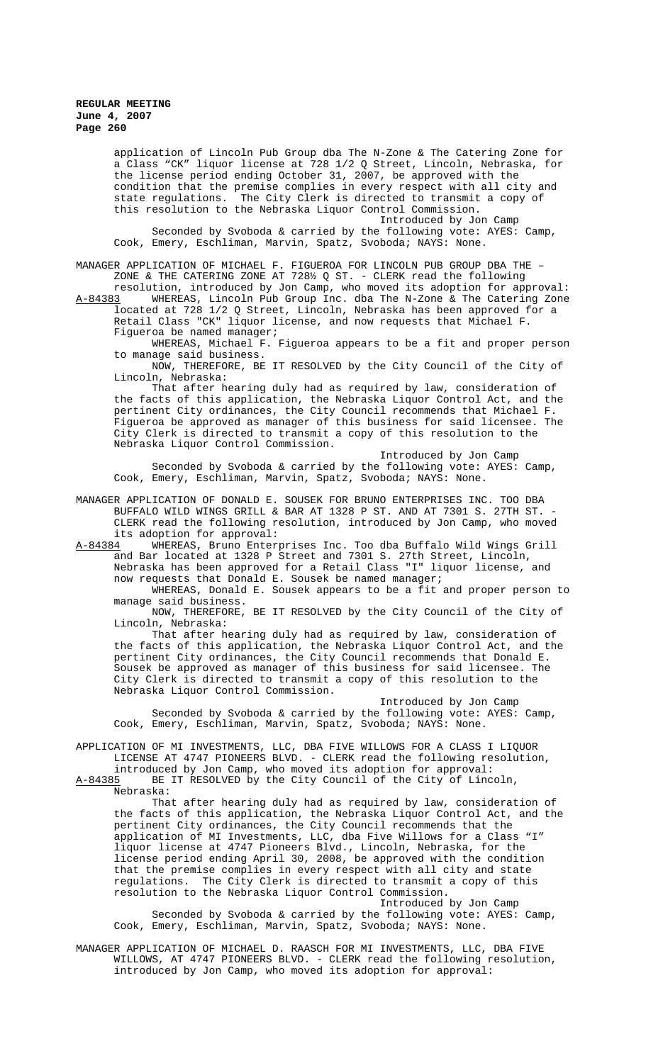application of Lincoln Pub Group dba The N-Zone & The Catering Zone for a Class "CK" liquor license at 728 1/2 Q Street, Lincoln, Nebraska, for the license period ending October 31, 2007, be approved with the condition that the premise complies in every respect with all city and state regulations. The City Clerk is directed to transmit a copy of this resolution to the Nebraska Liquor Control Commission.

Introduced by Jon Camp Seconded by Svoboda & carried by the following vote: AYES: Camp, Cook, Emery, Eschliman, Marvin, Spatz, Svoboda; NAYS: None.

MANAGER APPLICATION OF MICHAEL F. FIGUEROA FOR LINCOLN PUB GROUP DBA THE – ZONE & THE CATERING ZONE AT 728½ Q ST. - CLERK read the following

resolution, introduced by Jon Camp, who moved its adoption for approval:<br>A-84383 WHEREAS, Lincoln Pub Group Inc. dba The N-Zone & The Catering Zone A-84383 WHEREAS, Lincoln Pub Group Inc. dba The N-Zone & The Catering Zone located at 728 1/2 Q Street, Lincoln, Nebraska has been approved for a Retail Class "CK" liquor license, and now requests that Michael F. Figueroa be named manager;

WHEREAS, Michael F. Figueroa appears to be a fit and proper person to manage said business.

NOW, THEREFORE, BE IT RESOLVED by the City Council of the City of Lincoln, Nebraska:

That after hearing duly had as required by law, consideration of the facts of this application, the Nebraska Liquor Control Act, and the pertinent City ordinances, the City Council recommends that Michael F. Figueroa be approved as manager of this business for said licensee. The City Clerk is directed to transmit a copy of this resolution to the Nebraska Liquor Control Commission.

Introduced by Jon Camp Seconded by Svoboda & carried by the following vote: AYES: Camp, Cook, Emery, Eschliman, Marvin, Spatz, Svoboda; NAYS: None.

MANAGER APPLICATION OF DONALD E. SOUSEK FOR BRUNO ENTERPRISES INC. TOO DBA BUFFALO WILD WINGS GRILL & BAR AT 1328 P ST. AND AT 7301 S. 27TH ST. - CLERK read the following resolution, introduced by Jon Camp, who moved its adoption for approval:

A-84384 WHEREAS, Bruno Enterprises Inc. Too dba Buffalo Wild Wings Grill and Bar located at 1328 P Street and 7301 S. 27th Street, Lincoln, Nebraska has been approved for a Retail Class "I" liquor license, and now requests that Donald E. Sousek be named manager;

WHEREAS, Donald E. Sousek appears to be a fit and proper person to manage said business.

NOW, THEREFORE, BE IT RESOLVED by the City Council of the City of Lincoln, Nebraska:

That after hearing duly had as required by law, consideration of the facts of this application, the Nebraska Liquor Control Act, and the pertinent City ordinances, the City Council recommends that Donald E. Sousek be approved as manager of this business for said licensee. The City Clerk is directed to transmit a copy of this resolution to the Nebraska Liquor Control Commission.

Introduced by Jon Camp Seconded by Svoboda & carried by the following vote: AYES: Camp, Cook, Emery, Eschliman, Marvin, Spatz, Svoboda; NAYS: None.

APPLICATION OF MI INVESTMENTS, LLC, DBA FIVE WILLOWS FOR A CLASS I LIQUOR LICENSE AT 4747 PIONEERS BLVD. - CLERK read the following resolution,

introduced by Jon Camp, who moved its adoption for approval:<br>A-84385 BE IT RESOLVED by the City Council of the City of Linc BE IT RESOLVED by the City Council of the City of Lincoln, Nebraska:

That after hearing duly had as required by law, consideration of the facts of this application, the Nebraska Liquor Control Act, and the pertinent City ordinances, the City Council recommends that the application of MI Investments, LLC, dba Five Willows for a Class "I" liquor license at 4747 Pioneers Blvd., Lincoln, Nebraska, for the license period ending April 30, 2008, be approved with the condition that the premise complies in every respect with all city and state regulations. The City Clerk is directed to transmit a copy of this resolution to the Nebraska Liquor Control Commission.

Introduced by Jon Camp Seconded by Svoboda & carried by the following vote: AYES: Camp, Cook, Emery, Eschliman, Marvin, Spatz, Svoboda; NAYS: None.

MANAGER APPLICATION OF MICHAEL D. RAASCH FOR MI INVESTMENTS, LLC, DBA FIVE WILLOWS, AT 4747 PIONEERS BLVD. - CLERK read the following resolution, introduced by Jon Camp, who moved its adoption for approval: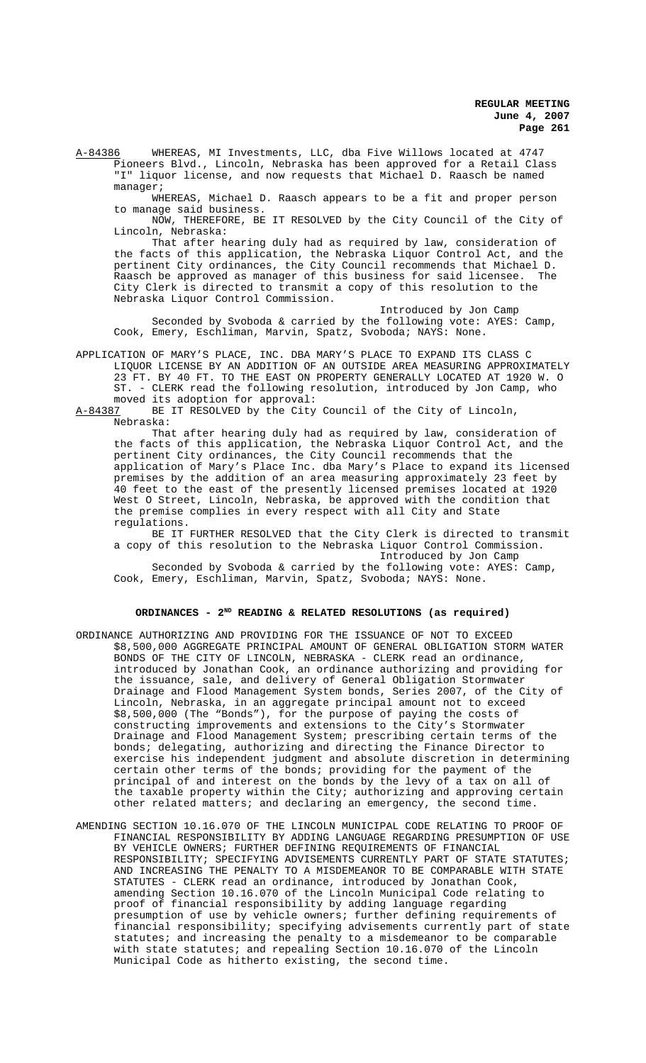A-84386 WHEREAS, MI Investments, LLC, dba Five Willows located at 4747 Pioneers Blvd., Lincoln, Nebraska has been approved for a Retail Class "I" liquor license, and now requests that Michael D. Raasch be named manager;

WHEREAS, Michael D. Raasch appears to be a fit and proper person to manage said business.

NOW, THEREFORE, BE IT RESOLVED by the City Council of the City of Lincoln, Nebraska:

That after hearing duly had as required by law, consideration of the facts of this application, the Nebraska Liquor Control Act, and the pertinent City ordinances, the City Council recommends that Michael D. -<br>Raasch be approved as manager of this business for said licensee. The City Clerk is directed to transmit a copy of this resolution to the Nebraska Liquor Control Commission.

Introduced by Jon Camp Seconded by Svoboda & carried by the following vote: AYES: Camp, Cook, Emery, Eschliman, Marvin, Spatz, Svoboda; NAYS: None.

APPLICATION OF MARY'S PLACE, INC. DBA MARY'S PLACE TO EXPAND ITS CLASS C LIQUOR LICENSE BY AN ADDITION OF AN OUTSIDE AREA MEASURING APPROXIMATELY 23 FT. BY 40 FT. TO THE EAST ON PROPERTY GENERALLY LOCATED AT 1920 W. O ST. - CLERK read the following resolution, introduced by Jon Camp, who moved its adoption for approval:<br>A-84387 BE IT RESOLVED by the City

BE IT RESOLVED by the City Council of the City of Lincoln, Nebraska:

That after hearing duly had as required by law, consideration of the facts of this application, the Nebraska Liquor Control Act, and the pertinent City ordinances, the City Council recommends that the application of Mary's Place Inc. dba Mary's Place to expand its licensed premises by the addition of an area measuring approximately 23 feet by 40 feet to the east of the presently licensed premises located at 1920 West O Street, Lincoln, Nebraska, be approved with the condition that the premise complies in every respect with all City and State regulations.

BE IT FURTHER RESOLVED that the City Clerk is directed to transmit a copy of this resolution to the Nebraska Liquor Control Commission.

Introduced by Jon Camp Seconded by Svoboda & carried by the following vote: AYES: Camp, Cook, Emery, Eschliman, Marvin, Spatz, Svoboda; NAYS: None.

# ORDINANCES - 2<sup>ND</sup> READING & RELATED RESOLUTIONS (as required)

- ORDINANCE AUTHORIZING AND PROVIDING FOR THE ISSUANCE OF NOT TO EXCEED \$8,500,000 AGGREGATE PRINCIPAL AMOUNT OF GENERAL OBLIGATION STORM WATER BONDS OF THE CITY OF LINCOLN, NEBRASKA - CLERK read an ordinance, introduced by Jonathan Cook, an ordinance authorizing and providing for the issuance, sale, and delivery of General Obligation Stormwater Drainage and Flood Management System bonds, Series 2007, of the City of Lincoln, Nebraska, in an aggregate principal amount not to exceed \$8,500,000 (The "Bonds"), for the purpose of paying the costs of constructing improvements and extensions to the City's Stormwater Drainage and Flood Management System; prescribing certain terms of the bonds; delegating, authorizing and directing the Finance Director to exercise his independent judgment and absolute discretion in determining certain other terms of the bonds; providing for the payment of the principal of and interest on the bonds by the levy of a tax on all of the taxable property within the City; authorizing and approving certain other related matters; and declaring an emergency, the second time.
- AMENDING SECTION 10.16.070 OF THE LINCOLN MUNICIPAL CODE RELATING TO PROOF OF FINANCIAL RESPONSIBILITY BY ADDING LANGUAGE REGARDING PRESUMPTION OF USE BY VEHICLE OWNERS; FURTHER DEFINING REQUIREMENTS OF FINANCIAL RESPONSIBILITY; SPECIFYING ADVISEMENTS CURRENTLY PART OF STATE STATUTES; AND INCREASING THE PENALTY TO A MISDEMEANOR TO BE COMPARABLE WITH STATE STATUTES - CLERK read an ordinance, introduced by Jonathan Cook, amending Section 10.16.070 of the Lincoln Municipal Code relating to proof of financial responsibility by adding language regarding presumption of use by vehicle owners; further defining requirements of financial responsibility; specifying advisements currently part of state statutes; and increasing the penalty to a misdemeanor to be comparable with state statutes; and repealing Section 10.16.070 of the Lincoln Municipal Code as hitherto existing, the second time.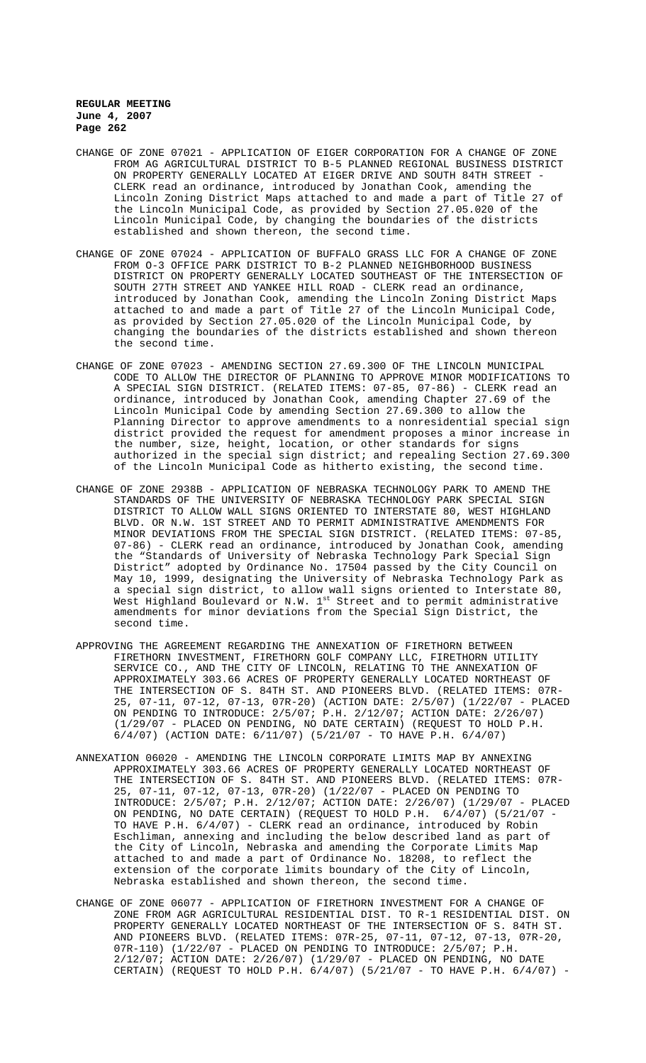- CHANGE OF ZONE 07021 APPLICATION OF EIGER CORPORATION FOR A CHANGE OF ZONE FROM AG AGRICULTURAL DISTRICT TO B-5 PLANNED REGIONAL BUSINESS DISTRICT ON PROPERTY GENERALLY LOCATED AT EIGER DRIVE AND SOUTH 84TH STREET - CLERK read an ordinance, introduced by Jonathan Cook, amending the Lincoln Zoning District Maps attached to and made a part of Title 27 of the Lincoln Municipal Code, as provided by Section 27.05.020 of the Lincoln Municipal Code, by changing the boundaries of the districts established and shown thereon, the second time.
- CHANGE OF ZONE 07024 APPLICATION OF BUFFALO GRASS LLC FOR A CHANGE OF ZONE FROM O-3 OFFICE PARK DISTRICT TO B-2 PLANNED NEIGHBORHOOD BUSINESS DISTRICT ON PROPERTY GENERALLY LOCATED SOUTHEAST OF THE INTERSECTION OF SOUTH 27TH STREET AND YANKEE HILL ROAD - CLERK read an ordinance, introduced by Jonathan Cook, amending the Lincoln Zoning District Maps attached to and made a part of Title 27 of the Lincoln Municipal Code, as provided by Section 27.05.020 of the Lincoln Municipal Code, by changing the boundaries of the districts established and shown thereon the second time.
- CHANGE OF ZONE 07023 AMENDING SECTION 27.69.300 OF THE LINCOLN MUNICIPAL CODE TO ALLOW THE DIRECTOR OF PLANNING TO APPROVE MINOR MODIFICATIONS TO A SPECIAL SIGN DISTRICT. (RELATED ITEMS: 07-85, 07-86) - CLERK read an ordinance, introduced by Jonathan Cook, amending Chapter 27.69 of the Lincoln Municipal Code by amending Section 27.69.300 to allow the Planning Director to approve amendments to a nonresidential special sign district provided the request for amendment proposes a minor increase in the number, size, height, location, or other standards for signs authorized in the special sign district; and repealing Section 27.69.300 of the Lincoln Municipal Code as hitherto existing, the second time.
- CHANGE OF ZONE 2938B APPLICATION OF NEBRASKA TECHNOLOGY PARK TO AMEND THE STANDARDS OF THE UNIVERSITY OF NEBRASKA TECHNOLOGY PARK SPECIAL SIGN DISTRICT TO ALLOW WALL SIGNS ORIENTED TO INTERSTATE 80, WEST HIGHLAND BLVD. OR N.W. 1ST STREET AND TO PERMIT ADMINISTRATIVE AMENDMENTS FOR MINOR DEVIATIONS FROM THE SPECIAL SIGN DISTRICT. (RELATED ITEMS: 07-85, 07-86) - CLERK read an ordinance, introduced by Jonathan Cook, amending the "Standards of University of Nebraska Technology Park Special Sign District" adopted by Ordinance No. 17504 passed by the City Council on May 10, 1999, designating the University of Nebraska Technology Park as a special sign district, to allow wall signs oriented to Interstate 80, West Highland Boulevard or N.W.  $1^\text{st}$  Street and to permit administrative amendments for minor deviations from the Special Sign District, the second time.
- APPROVING THE AGREEMENT REGARDING THE ANNEXATION OF FIRETHORN BETWEEN FIRETHORN INVESTMENT, FIRETHORN GOLF COMPANY LLC, FIRETHORN UTILITY SERVICE CO., AND THE CITY OF LINCOLN, RELATING TO THE ANNEXATION OF APPROXIMATELY 303.66 ACRES OF PROPERTY GENERALLY LOCATED NORTHEAST OF THE INTERSECTION OF S. 84TH ST. AND PIONEERS BLVD. (RELATED ITEMS: 07R-25, 07-11, 07-12, 07-13, 07R-20) (ACTION DATE: 2/5/07) (1/22/07 - PLACED ON PENDING TO INTRODUCE: 2/5/07; P.H. 2/12/07; ACTION DATE: 2/26/07) (1/29/07 - PLACED ON PENDING, NO DATE CERTAIN) (REQUEST TO HOLD P.H. 6/4/07) (ACTION DATE: 6/11/07) (5/21/07 - TO HAVE P.H. 6/4/07)
- ANNEXATION 06020 AMENDING THE LINCOLN CORPORATE LIMITS MAP BY ANNEXING APPROXIMATELY 303.66 ACRES OF PROPERTY GENERALLY LOCATED NORTHEAST OF THE INTERSECTION OF S. 84TH ST. AND PIONEERS BLVD. (RELATED ITEMS: 07R-25, 07-11, 07-12, 07-13, 07R-20) (1/22/07 - PLACED ON PENDING TO INTRODUCE: 2/5/07; P.H. 2/12/07; ACTION DATE: 2/26/07) (1/29/07 - PLACED ON PENDING, NO DATE CERTAIN) (REQUEST TO HOLD P.H. 6/4/07) (5/21/07 - TO HAVE P.H. 6/4/07) - CLERK read an ordinance, introduced by Robin Eschliman, annexing and including the below described land as part of the City of Lincoln, Nebraska and amending the Corporate Limits Map attached to and made a part of Ordinance No. 18208, to reflect the extension of the corporate limits boundary of the City of Lincoln, Nebraska established and shown thereon, the second time.
- CHANGE OF ZONE 06077 APPLICATION OF FIRETHORN INVESTMENT FOR A CHANGE OF ZONE FROM AGR AGRICULTURAL RESIDENTIAL DIST. TO R-1 RESIDENTIAL DIST. ON PROPERTY GENERALLY LOCATED NORTHEAST OF THE INTERSECTION OF S. 84TH ST. AND PIONEERS BLVD. (RELATED ITEMS: 07R-25, 07-11, 07-12, 07-13, 07R-20, 07R-110) (1/22/07 - PLACED ON PENDING TO INTRODUCE: 2/5/07; P.H. 2/12/07; ACTION DATE: 2/26/07) (1/29/07 - PLACED ON PENDING, NO DATE CERTAIN) (REQUEST TO HOLD P.H. 6/4/07) (5/21/07 - TO HAVE P.H. 6/4/07) -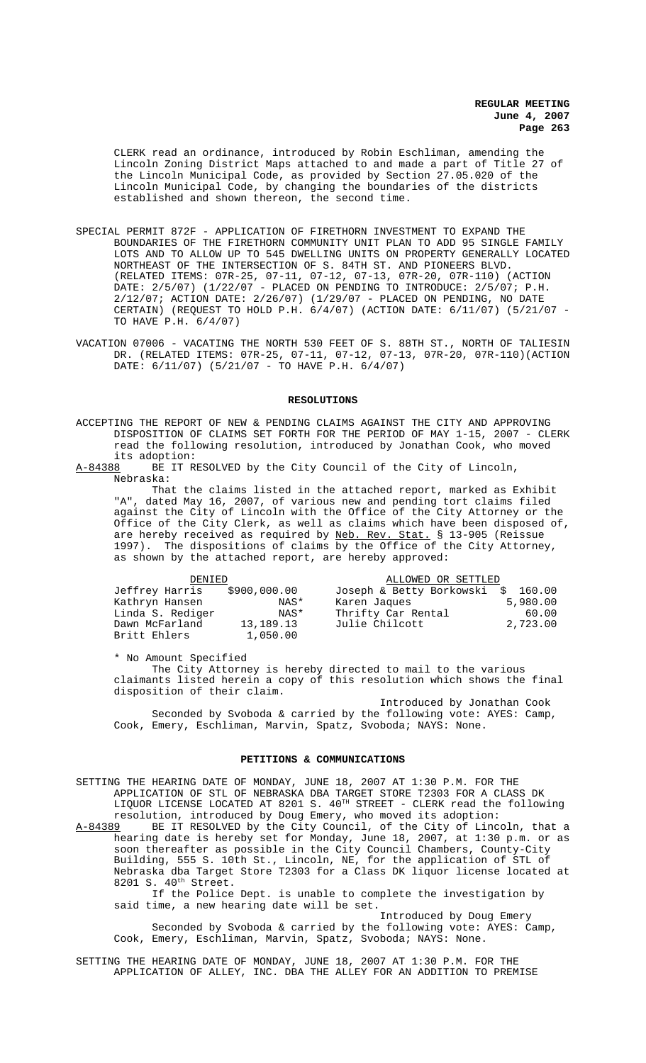CLERK read an ordinance, introduced by Robin Eschliman, amending the Lincoln Zoning District Maps attached to and made a part of Title 27 of the Lincoln Municipal Code, as provided by Section 27.05.020 of the Lincoln Municipal Code, by changing the boundaries of the districts established and shown thereon, the second time.

- SPECIAL PERMIT 872F APPLICATION OF FIRETHORN INVESTMENT TO EXPAND THE BOUNDARIES OF THE FIRETHORN COMMUNITY UNIT PLAN TO ADD 95 SINGLE FAMILY LOTS AND TO ALLOW UP TO 545 DWELLING UNITS ON PROPERTY GENERALLY LOCATED NORTHEAST OF THE INTERSECTION OF S. 84TH ST. AND PIONEERS BLVD. (RELATED ITEMS: 07R-25, 07-11, 07-12, 07-13, 07R-20, 07R-110) (ACTION DATE: 2/5/07) (1/22/07 - PLACED ON PENDING TO INTRODUCE: 2/5/07; P.H. 2/12/07; ACTION DATE: 2/26/07) (1/29/07 - PLACED ON PENDING, NO DATE CERTAIN) (REQUEST TO HOLD P.H. 6/4/07) (ACTION DATE: 6/11/07) (5/21/07 - TO HAVE P.H. 6/4/07)
- VACATION 07006 VACATING THE NORTH 530 FEET OF S. 88TH ST., NORTH OF TALIESIN DR. (RELATED ITEMS: 07R-25, 07-11, 07-12, 07-13, 07R-20, 07R-110)(ACTION DATE: 6/11/07) (5/21/07 - TO HAVE P.H. 6/4/07)

#### **RESOLUTIONS**

- ACCEPTING THE REPORT OF NEW & PENDING CLAIMS AGAINST THE CITY AND APPROVING DISPOSITION OF CLAIMS SET FORTH FOR THE PERIOD OF MAY 1-15, 2007 - CLERK read the following resolution, introduced by Jonathan Cook, who moved its adoption:<br><u>A-84388</u> BE IT R
- BE IT RESOLVED by the City Council of the City of Lincoln, Nebraska:

That the claims listed in the attached report, marked as Exhibit "A", dated May 16, 2007, of various new and pending tort claims filed against the City of Lincoln with the Office of the City Attorney or the Office of the City Clerk, as well as claims which have been disposed of, are hereby received as required by Neb. Rev. Stat. § 13-905 (Reissue 1997). The dispositions of claims by the Office of the City Attorney, as shown by the attached report, are hereby approved:

| DENIED           |              | ALLOWED OR SETTLED                 |          |
|------------------|--------------|------------------------------------|----------|
| Jeffrey Harris   | \$900,000.00 | Joseph & Betty Borkowski \$ 160.00 |          |
| Kathryn Hansen   | NAS*         | Karen Jaques                       | 5,980.00 |
| Linda S. Rediger | NAS*         | Thrifty Car Rental                 | 60.00    |
| Dawn McFarland   | 13, 189. 13  | Julie Chilcott                     | 2,723.00 |
| Britt Ehlers     | 1,050.00     |                                    |          |

\* No Amount Specified

The City Attorney is hereby directed to mail to the various claimants listed herein a copy of this resolution which shows the final disposition of their claim.

Introduced by Jonathan Cook Seconded by Svoboda & carried by the following vote: AYES: Camp, Cook, Emery, Eschliman, Marvin, Spatz, Svoboda; NAYS: None.

### **PETITIONS & COMMUNICATIONS**

SETTING THE HEARING DATE OF MONDAY, JUNE 18, 2007 AT 1:30 P.M. FOR THE APPLICATION OF STL OF NEBRASKA DBA TARGET STORE T2303 FOR A CLASS DK LIQUOR LICENSE LOCATED AT 8201 S. 40TH STREET - CLERK read the following resolution, introduced by Doug Emery, who moved its adoption:

A-84389 BE IT RESOLVED by the City Council, of the City of Lincoln, that a hearing date is hereby set for Monday, June 18, 2007, at 1:30 p.m. or as soon thereafter as possible in the City Council Chambers, County-City Building, 555 S. 10th St., Lincoln, NE, for the application of STL of Nebraska dba Target Store T2303 for a Class DK liquor license located at 8201 S. 40<sup>th</sup> Street.

If the Police Dept. is unable to complete the investigation by said time, a new hearing date will be set.

Introduced by Doug Emery Seconded by Svoboda & carried by the following vote: AYES: Camp, Cook, Emery, Eschliman, Marvin, Spatz, Svoboda; NAYS: None.

SETTING THE HEARING DATE OF MONDAY, JUNE 18, 2007 AT 1:30 P.M. FOR THE APPLICATION OF ALLEY, INC. DBA THE ALLEY FOR AN ADDITION TO PREMISE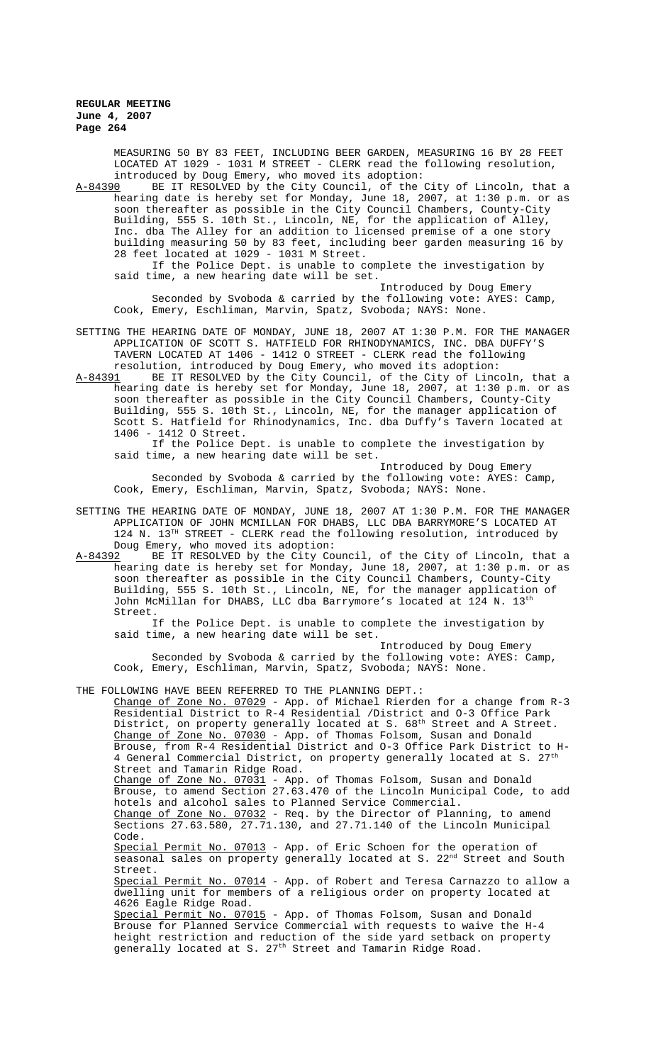MEASURING 50 BY 83 FEET, INCLUDING BEER GARDEN, MEASURING 16 BY 28 FEET LOCATED AT 1029 - 1031 M STREET - CLERK read the following resolution,

introduced by Doug Emery, who moved its adoption:<br>A-84390 BE IT RESOLVED by the City Council, of the BE IT RESOLVED by the City Council, of the City of Lincoln, that a hearing date is hereby set for Monday, June 18, 2007, at 1:30 p.m. or as soon thereafter as possible in the City Council Chambers, County-City Building, 555 S. 10th St., Lincoln, NE, for the application of Alley, Inc. dba The Alley for an addition to licensed premise of a one story building measuring 50 by 83 feet, including beer garden measuring 16 by 28 feet located at 1029 - 1031 M Street.

If the Police Dept. is unable to complete the investigation by said time, a new hearing date will be set.

Introduced by Doug Emery Seconded by Svoboda & carried by the following vote: AYES: Camp, Cook, Emery, Eschliman, Marvin, Spatz, Svoboda; NAYS: None.

- SETTING THE HEARING DATE OF MONDAY, JUNE 18, 2007 AT 1:30 P.M. FOR THE MANAGER APPLICATION OF SCOTT S. HATFIELD FOR RHINODYNAMICS, INC. DBA DUFFY'S TAVERN LOCATED AT 1406 - 1412 O STREET - CLERK read the following resolution, introduced by Doug Emery, who moved its adoption:
- A-84391 BE IT RESOLVED by the City Council, of the City of Lincoln, that a hearing date is hereby set for Monday, June 18, 2007, at 1:30 p.m. or as soon thereafter as possible in the City Council Chambers, County-City Building, 555 S. 10th St., Lincoln, NE, for the manager application of Scott S. Hatfield for Rhinodynamics, Inc. dba Duffy's Tavern located at 1406 - 1412 O Street.

If the Police Dept. is unable to complete the investigation by said time, a new hearing date will be set.

Introduced by Doug Emery Seconded by Svoboda & carried by the following vote: AYES: Camp, Cook, Emery, Eschliman, Marvin, Spatz, Svoboda; NAYS: None.

SETTING THE HEARING DATE OF MONDAY, JUNE 18, 2007 AT 1:30 P.M. FOR THE MANAGER APPLICATION OF JOHN MCMILLAN FOR DHABS, LLC DBA BARRYMORE'S LOCATED AT 124 N.  $13^{TH}$  STREET - CLERK read the following resolution, introduced by Doug Emery, who moved its adoption:<br>A-84392 BE IT RESOLVED by the City Co

BE IT RESOLVED by the City Council, of the City of Lincoln, that a hearing date is hereby set for Monday, June 18, 2007, at 1:30 p.m. or as soon thereafter as possible in the City Council Chambers, County-City Building, 555 S. 10th St., Lincoln, NE, for the manager application of John McMillan for DHABS, LLC dba Barrymore's located at 124 N. 13th Street.

If the Police Dept. is unable to complete the investigation by said time, a new hearing date will be set.

Introduced by Doug Emery Seconded by Svoboda & carried by the following vote: AYES: Camp, Cook, Emery, Eschliman, Marvin, Spatz, Svoboda; NAYS: None.

THE FOLLOWING HAVE BEEN REFERRED TO THE PLANNING DEPT.:

Change of Zone No. 07029 - App. of Michael Rierden for a change from R-3 Residential District to R-4 Residential /District and O-3 Office Park District, on property generally located at S.  $68^{\rm th}$  Street and A Street. Change of Zone No. 07030 - App. of Thomas Folsom, Susan and Donald Brouse, from R-4 Residential District and O-3 Office Park District to H-4 General Commercial District, on property generally located at S. 27<sup>th</sup> Street and Tamarin Ridge Road. Change of Zone No. 07031 - App. of Thomas Folsom, Susan and Donald Brouse, to amend Section 27.63.470 of the Lincoln Municipal Code, to add hotels and alcohol sales to Planned Service Commercial. Change of Zone No. 07032 - Req. by the Director of Planning, to amend Sections 27.63.580, 27.71.130, and 27.71.140 of the Lincoln Municipal Code.<br>Special Permit No. 07013 - App. of Eric Schoen for the operation of seasonal sales on property generally located at S. 22<sup>nd</sup> Street and South Street. Special Permit No. 07014 - App. of Robert and Teresa Carnazzo to allow a dwelling unit for members of a religious order on property located at 4626 Eagle Ridge Road. Special Permit No. 07015 - App. of Thomas Folsom, Susan and Donald Brouse for Planned Service Commercial with requests to waive the H-4 height restriction and reduction of the side yard setback on property generally located at S. 27<sup>th</sup> Street and Tamarin Ridge Road.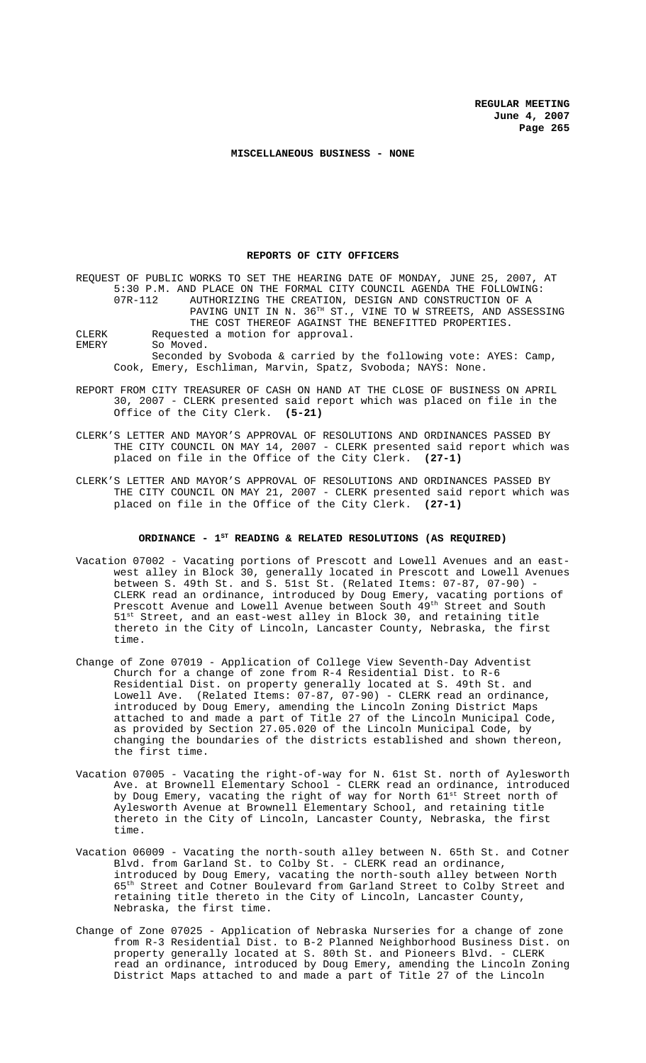#### **MISCELLANEOUS BUSINESS - NONE**

#### **REPORTS OF CITY OFFICERS**

REQUEST OF PUBLIC WORKS TO SET THE HEARING DATE OF MONDAY, JUNE 25, 2007, AT 5:30 P.M. AND PLACE ON THE FORMAL CITY COUNCIL AGENDA THE FOLLOWING:<br>07R-112 AUTHORIZING THE CREATION, DESIGN AND CONSTRUCTION OF A AUTHORIZING THE CREATION, DESIGN AND CONSTRUCTION OF A PAVING UNIT IN N.  $36^{TH}$  ST., VINE TO W STREETS, AND ASSESSING THE COST THEREOF AGAINST THE BENEFITTED PROPERTIES. CLERK Requested a motion for approval. EMERY So Moved. Seconded by Svoboda & carried by the following vote: AYES: Camp, Cook, Emery, Eschliman, Marvin, Spatz, Svoboda; NAYS: None.

- REPORT FROM CITY TREASURER OF CASH ON HAND AT THE CLOSE OF BUSINESS ON APRIL 30, 2007 - CLERK presented said report which was placed on file in the Office of the City Clerk. **(5-21)**
- CLERK'S LETTER AND MAYOR'S APPROVAL OF RESOLUTIONS AND ORDINANCES PASSED BY THE CITY COUNCIL ON MAY 14, 2007 - CLERK presented said report which was placed on file in the Office of the City Clerk. **(27-1)**
- CLERK'S LETTER AND MAYOR'S APPROVAL OF RESOLUTIONS AND ORDINANCES PASSED BY THE CITY COUNCIL ON MAY 21, 2007 - CLERK presented said report which was placed on file in the Office of the City Clerk. **(27-1)**

### ORDINANCE - 1<sup>st</sup> READING & RELATED RESOLUTIONS (AS REQUIRED)

- Vacation 07002 Vacating portions of Prescott and Lowell Avenues and an eastwest alley in Block 30, generally located in Prescott and Lowell Avenues between S. 49th St. and S. 51st St. (Related Items: 07-87, 07-90) - CLERK read an ordinance, introduced by Doug Emery, vacating portions of Prescott Avenue and Lowell Avenue between South 49<sup>th</sup> Street and South 51<sup>st</sup> Street, and an east-west alley in Block 30, and retaining title  $^{\rm t}$  Street, and an east-west alley in Block 30, and retaining title thereto in the City of Lincoln, Lancaster County, Nebraska, the first time.
- Change of Zone 07019 Application of College View Seventh-Day Adventist Church for a change of zone from R-4 Residential Dist. to R-6 Residential Dist. on property generally located at S. 49th St. and Lowell Ave. (Related Items: 07-87, 07-90) - CLERK read an ordinance, introduced by Doug Emery, amending the Lincoln Zoning District Maps attached to and made a part of Title 27 of the Lincoln Municipal Code, as provided by Section 27.05.020 of the Lincoln Municipal Code, by changing the boundaries of the districts established and shown thereon, the first time.
- Vacation 07005 Vacating the right-of-way for N. 61st St. north of Aylesworth Ave. at Brownell Elementary School - CLERK read an ordinance, introduced by Doug Emery, vacating the right of way for North 61<sup>st</sup> Street north of Aylesworth Avenue at Brownell Elementary School, and retaining title thereto in the City of Lincoln, Lancaster County, Nebraska, the first time.
- Vacation 06009 Vacating the north-south alley between N. 65th St. and Cotner Blvd. from Garland St. to Colby St. - CLERK read an ordinance, introduced by Doug Emery, vacating the north-south alley between North 65th Street and Cotner Boulevard from Garland Street to Colby Street and retaining title thereto in the City of Lincoln, Lancaster County, Nebraska, the first time.
- Change of Zone 07025 Application of Nebraska Nurseries for a change of zone from R-3 Residential Dist. to B-2 Planned Neighborhood Business Dist. on property generally located at S. 80th St. and Pioneers Blvd. - CLERK read an ordinance, introduced by Doug Emery, amending the Lincoln Zoning District Maps attached to and made a part of Title 27 of the Lincoln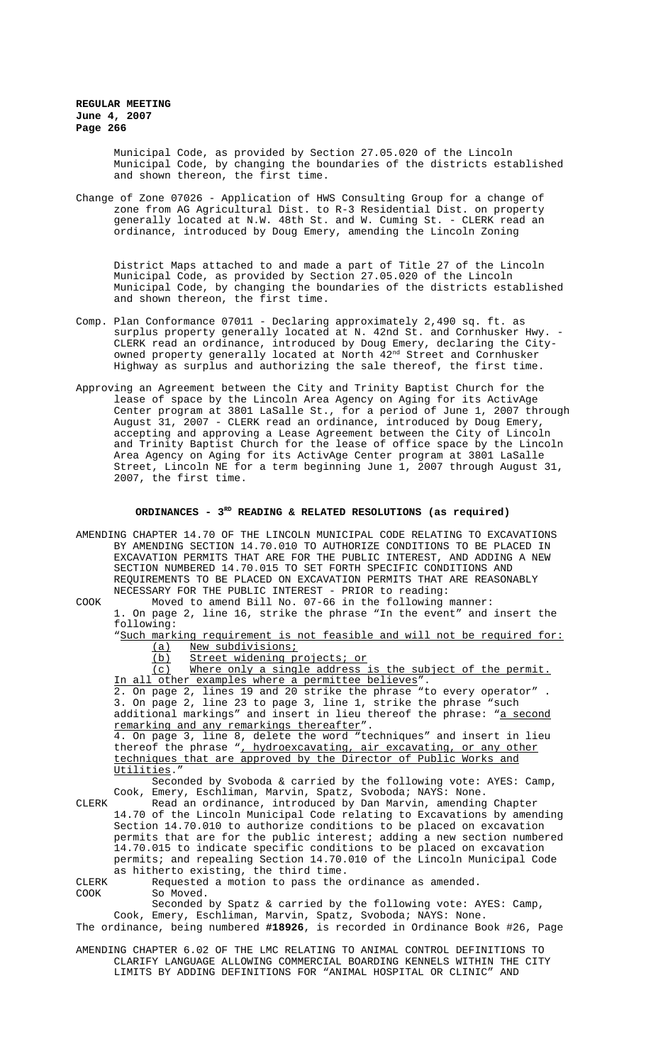> Municipal Code, as provided by Section 27.05.020 of the Lincoln Municipal Code, by changing the boundaries of the districts established and shown thereon, the first time.

Change of Zone 07026 - Application of HWS Consulting Group for a change of zone from AG Agricultural Dist. to R-3 Residential Dist. on property generally located at N.W. 48th St. and W. Cuming St. - CLERK read an ordinance, introduced by Doug Emery, amending the Lincoln Zoning

District Maps attached to and made a part of Title 27 of the Lincoln Municipal Code, as provided by Section 27.05.020 of the Lincoln Municipal Code, by changing the boundaries of the districts established and shown thereon, the first time.

- Comp. Plan Conformance 07011 Declaring approximately 2,490 sq. ft. as surplus property generally located at N. 42nd St. and Cornhusker Hwy. - CLERK read an ordinance, introduced by Doug Emery, declaring the Cityowned property generally located at North  $42^{\mathrm{nd}}$  Street and Cornhusker Highway as surplus and authorizing the sale thereof, the first time.
- Approving an Agreement between the City and Trinity Baptist Church for the lease of space by the Lincoln Area Agency on Aging for its ActivAge Center program at 3801 LaSalle St., for a period of June 1, 2007 through August 31, 2007 - CLERK read an ordinance, introduced by Doug Emery, accepting and approving a Lease Agreement between the City of Lincoln and Trinity Baptist Church for the lease of office space by the Lincoln Area Agency on Aging for its ActivAge Center program at 3801 LaSalle Street, Lincoln NE for a term beginning June 1, 2007 through August 31, 2007, the first time.

### ORDINANCES - 3<sup>RD</sup> READING & RELATED RESOLUTIONS (as required)

AMENDING CHAPTER 14.70 OF THE LINCOLN MUNICIPAL CODE RELATING TO EXCAVATIONS BY AMENDING SECTION 14.70.010 TO AUTHORIZE CONDITIONS TO BE PLACED IN EXCAVATION PERMITS THAT ARE FOR THE PUBLIC INTEREST, AND ADDING A NEW SECTION NUMBERED 14.70.015 TO SET FORTH SPECIFIC CONDITIONS AND REQUIREMENTS TO BE PLACED ON EXCAVATION PERMITS THAT ARE REASONABLY NECESSARY FOR THE PUBLIC INTEREST - PRIOR to reading: COOK Moved to amend Bill No. 07-66 in the following manner: 1. On page 2, line 16, strike the phrase "In the event" and insert the following: "Such marking requirement is not feasible and will not be required for: (a) New subdivisions; (b) Street widening projects; or (c) Where only a single address is the subject of the permit. In all other examples where a permittee believes". 2. On page 2, lines 19 and 20 strike the phrase "to every operator" . 3. On page 2, line 23 to page 3, line 1, strike the phrase "such additional markings" and insert in lieu thereof the phrase: "<u>a second</u> remarking and any remarkings thereafter". 4. On page 3, line 8, delete the word "techniques" and insert in lieu thereof the phrase ", hydroexcavating, air excavating, or any other techniques that are approved by the Director of Public Works and Utilities." Seconded by Svoboda & carried by the following vote: AYES: Camp, Cook, Emery, Eschliman, Marvin, Spatz, Svoboda; NAYS: None. CLERK Read an ordinance, introduced by Dan Marvin, amending Chapter 14.70 of the Lincoln Municipal Code relating to Excavations by amending Section 14.70.010 to authorize conditions to be placed on excavation permits that are for the public interest; adding a new section numbered 14.70.015 to indicate specific conditions to be placed on excavation permits; and repealing Section 14.70.010 of the Lincoln Municipal Code as hitherto existing, the third time. CLERK Requested a motion to pass the ordinance as amended.<br>COOK So Moved. So Moved. Seconded by Spatz & carried by the following vote: AYES: Camp, Cook, Emery, Eschliman, Marvin, Spatz, Svoboda; NAYS: None. The ordinance, being numbered **#18926**, is recorded in Ordinance Book #26, Page AMENDING CHAPTER 6.02 OF THE LMC RELATING TO ANIMAL CONTROL DEFINITIONS TO CLARIFY LANGUAGE ALLOWING COMMERCIAL BOARDING KENNELS WITHIN THE CITY LIMITS BY ADDING DEFINITIONS FOR "ANIMAL HOSPITAL OR CLINIC" AND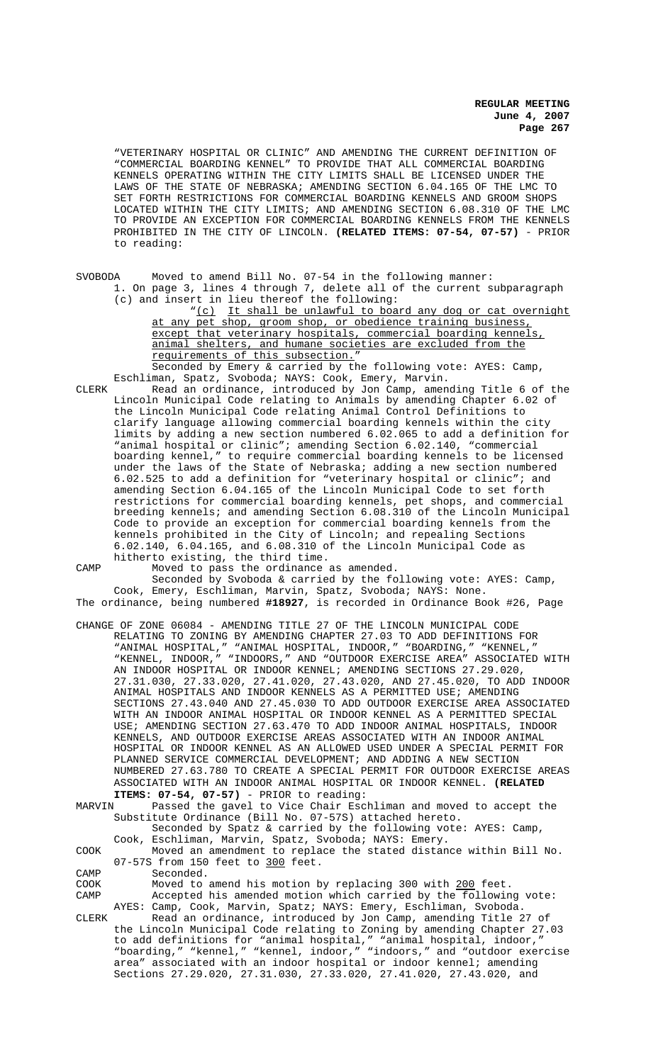"VETERINARY HOSPITAL OR CLINIC" AND AMENDING THE CURRENT DEFINITION OF "COMMERCIAL BOARDING KENNEL" TO PROVIDE THAT ALL COMMERCIAL BOARDING KENNELS OPERATING WITHIN THE CITY LIMITS SHALL BE LICENSED UNDER THE LAWS OF THE STATE OF NEBRASKA; AMENDING SECTION 6.04.165 OF THE LMC TO SET FORTH RESTRICTIONS FOR COMMERCIAL BOARDING KENNELS AND GROOM SHOPS LOCATED WITHIN THE CITY LIMITS; AND AMENDING SECTION 6.08.310 OF THE LMC TO PROVIDE AN EXCEPTION FOR COMMERCIAL BOARDING KENNELS FROM THE KENNELS PROHIBITED IN THE CITY OF LINCOLN. **(RELATED ITEMS: 07-54, 07-57)** - PRIOR to reading:

SVOBODA Moved to amend Bill No. 07-54 in the following manner:

1. On page 3, lines 4 through 7, delete all of the current subparagraph (c) and insert in lieu thereof the following: "(c) It shall be unlawful to board any dog or cat overnight

at any pet shop, groom shop, or obedience training business, except that veterinary hospitals, commercial boarding kennels, animal shelters, and humane societies are excluded from the requirements of this subsection."

Seconded by Emery & carried by the following vote: AYES: Camp, Eschliman, Spatz, Svoboda; NAYS: Cook, Emery, Marvin.

CLERK Read an ordinance, introduced by Jon Camp, amending Title 6 of the Lincoln Municipal Code relating to Animals by amending Chapter 6.02 of the Lincoln Municipal Code relating Animal Control Definitions to clarify language allowing commercial boarding kennels within the city limits by adding a new section numbered 6.02.065 to add a definition for "animal hospital or clinic"; amending Section 6.02.140, "commercial boarding kennel," to require commercial boarding kennels to be licensed under the laws of the State of Nebraska; adding a new section numbered 6.02.525 to add a definition for "veterinary hospital or clinic"; and amending Section 6.04.165 of the Lincoln Municipal Code to set forth restrictions for commercial boarding kennels, pet shops, and commercial breeding kennels; and amending Section 6.08.310 of the Lincoln Municipal Code to provide an exception for commercial boarding kennels from the kennels prohibited in the City of Lincoln; and repealing Sections 6.02.140, 6.04.165, and 6.08.310 of the Lincoln Municipal Code as hitherto existing, the third time.

CAMP Moved to pass the ordinance as amended.

Seconded by Svoboda & carried by the following vote: AYES: Camp, Cook, Emery, Eschliman, Marvin, Spatz, Svoboda; NAYS: None. The ordinance, being numbered **#18927**, is recorded in Ordinance Book #26, Page

CHANGE OF ZONE 06084 - AMENDING TITLE 27 OF THE LINCOLN MUNICIPAL CODE RELATING TO ZONING BY AMENDING CHAPTER 27.03 TO ADD DEFINITIONS FOR "ANIMAL HOSPITAL," "ANIMAL HOSPITAL, INDOOR," "BOARDING," "KENNEL," "KENNEL, INDOOR," "INDOORS," AND "OUTDOOR EXERCISE AREA" ASSOCIATED WITH AN INDOOR HOSPITAL OR INDOOR KENNEL; AMENDING SECTIONS 27.29.020, 27.31.030, 27.33.020, 27.41.020, 27.43.020, AND 27.45.020, TO ADD INDOOR ANIMAL HOSPITALS AND INDOOR KENNELS AS A PERMITTED USE; AMENDING SECTIONS 27.43.040 AND 27.45.030 TO ADD OUTDOOR EXERCISE AREA ASSOCIATED WITH AN INDOOR ANIMAL HOSPITAL OR INDOOR KENNEL AS A PERMITTED SPECIAL USE; AMENDING SECTION 27.63.470 TO ADD INDOOR ANIMAL HOSPITALS, INDOOR KENNELS, AND OUTDOOR EXERCISE AREAS ASSOCIATED WITH AN INDOOR ANIMAL HOSPITAL OR INDOOR KENNEL AS AN ALLOWED USED UNDER A SPECIAL PERMIT FOR PLANNED SERVICE COMMERCIAL DEVELOPMENT; AND ADDING A NEW SECTION NUMBERED 27.63.780 TO CREATE A SPECIAL PERMIT FOR OUTDOOR EXERCISE AREAS ASSOCIATED WITH AN INDOOR ANIMAL HOSPITAL OR INDOOR KENNEL. **(RELATED**

**ITEMS: 07-54, 07-57)** - PRIOR to reading:<br>MARVIN Passed the gavel to Vice Chair Esc Passed the gavel to Vice Chair Eschliman and moved to accept the Substitute Ordinance (Bill No. 07-57S) attached hereto. Seconded by Spatz & carried by the following vote: AYES: Camp, Cook, Eschliman, Marvin, Spatz, Svoboda; NAYS: Emery. COOK Moved an amendment to replace the stated distance within Bill No. 07-57S from 150 feet to 300 feet. CAMP Seconded. COOK Moved to amend his motion by replacing 300 with 200 feet.<br>CAMP Accepted his amended motion which carried by the followin Accepted his amended motion which carried by the following vote: AYES: Camp, Cook, Marvin, Spatz; NAYS: Emery, Eschliman, Svoboda. CLERK Read an ordinance, introduced by Jon Camp, amending Title 27 of the Lincoln Municipal Code relating to Zoning by amending Chapter 27.03

to add definitions for "animal hospital," "animal hospital, indoor," "boarding," "kennel," "kennel, indoor," "indoors," and "outdoor exercise area" associated with an indoor hospital or indoor kennel; amending Sections 27.29.020, 27.31.030, 27.33.020, 27.41.020, 27.43.020, and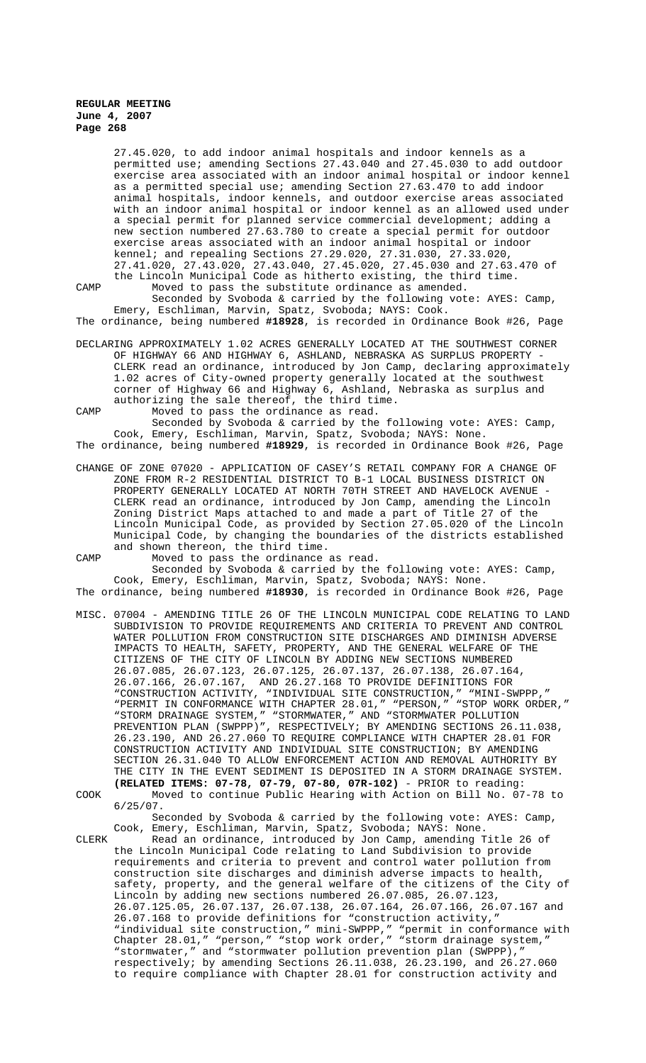27.45.020, to add indoor animal hospitals and indoor kennels as a permitted use; amending Sections 27.43.040 and 27.45.030 to add outdoor exercise area associated with an indoor animal hospital or indoor kennel as a permitted special use; amending Section 27.63.470 to add indoor animal hospitals, indoor kennels, and outdoor exercise areas associated with an indoor animal hospital or indoor kennel as an allowed used under a special permit for planned service commercial development; adding a new section numbered 27.63.780 to create a special permit for outdoor exercise areas associated with an indoor animal hospital or indoor kennel; and repealing Sections 27.29.020, 27.31.030, 27.33.020, 27.41.020, 27.43.020, 27.43.040, 27.45.020, 27.45.030 and 27.63.470 of the Lincoln Municipal Code as hitherto existing, the third time.

CAMP Moved to pass the substitute ordinance as amended. Seconded by Svoboda & carried by the following vote: AYES: Camp, Emery, Eschliman, Marvin, Spatz, Svoboda; NAYS: Cook.

The ordinance, being numbered **#18928**, is recorded in Ordinance Book #26, Page

DECLARING APPROXIMATELY 1.02 ACRES GENERALLY LOCATED AT THE SOUTHWEST CORNER OF HIGHWAY 66 AND HIGHWAY 6, ASHLAND, NEBRASKA AS SURPLUS PROPERTY - CLERK read an ordinance, introduced by Jon Camp, declaring approximately 1.02 acres of City-owned property generally located at the southwest corner of Highway 66 and Highway 6, Ashland, Nebraska as surplus and authorizing the sale thereof, the third time.

CAMP Moved to pass the ordinance as read.

Seconded by Svoboda & carried by the following vote: AYES: Camp, Cook, Emery, Eschliman, Marvin, Spatz, Svoboda; NAYS: None. The ordinance, being numbered **#18929**, is recorded in Ordinance Book #26, Page

CHANGE OF ZONE 07020 - APPLICATION OF CASEY'S RETAIL COMPANY FOR A CHANGE OF ZONE FROM R-2 RESIDENTIAL DISTRICT TO B-1 LOCAL BUSINESS DISTRICT ON PROPERTY GENERALLY LOCATED AT NORTH 70TH STREET AND HAVELOCK AVENUE - CLERK read an ordinance, introduced by Jon Camp, amending the Lincoln Zoning District Maps attached to and made a part of Title 27 of the Lincoln Municipal Code, as provided by Section 27.05.020 of the Lincoln Municipal Code, by changing the boundaries of the districts established and shown thereon, the third time.

CAMP Moved to pass the ordinance as read. Seconded by Svoboda & carried by the following vote: AYES: Camp, Cook, Emery, Eschliman, Marvin, Spatz, Svoboda; NAYS: None.

The ordinance, being numbered **#18930**, is recorded in Ordinance Book #26, Page

MISC. 07004 - AMENDING TITLE 26 OF THE LINCOLN MUNICIPAL CODE RELATING TO LAND SUBDIVISION TO PROVIDE REQUIREMENTS AND CRITERIA TO PREVENT AND CONTROL WATER POLLUTION FROM CONSTRUCTION SITE DISCHARGES AND DIMINISH ADVERSE IMPACTS TO HEALTH, SAFETY, PROPERTY, AND THE GENERAL WELFARE OF THE CITIZENS OF THE CITY OF LINCOLN BY ADDING NEW SECTIONS NUMBERED 26.07.085, 26.07.123, 26.07.125, 26.07.137, 26.07.138, 26.07.164, AND 26.27.168 TO PROVIDE DEFINITIONS FOR "CONSTRUCTION ACTIVITY, "INDIVIDUAL SITE CONSTRUCTION," "MINI-SWPPP," "PERMIT IN CONFORMANCE WITH CHAPTER 28.01," "PERSON," "STOP WORK ORDER," "STORM DRAINAGE SYSTEM," "STORMWATER," AND "STORMWATER POLLUTION PREVENTION PLAN (SWPPP)", RESPECTIVELY; BY AMENDING SECTIONS 26.11.038, 26.23.190, AND 26.27.060 TO REQUIRE COMPLIANCE WITH CHAPTER 28.01 FOR CONSTRUCTION ACTIVITY AND INDIVIDUAL SITE CONSTRUCTION; BY AMENDING SECTION 26.31.040 TO ALLOW ENFORCEMENT ACTION AND REMOVAL AUTHORITY BY THE CITY IN THE EVENT SEDIMENT IS DEPOSITED IN A STORM DRAINAGE SYSTEM. **(RELATED ITEMS: 07-78, 07-79, 07-80, 07R-102)** - PRIOR to reading:

COOK Moved to continue Public Hearing with Action on Bill No. 07-78 to 6/25/07.

Seconded by Svoboda & carried by the following vote: AYES: Camp, Cook, Emery, Eschliman, Marvin, Spatz, Svoboda; NAYS: None.

CLERK Read an ordinance, introduced by Jon Camp, amending Title 26 of the Lincoln Municipal Code relating to Land Subdivision to provide requirements and criteria to prevent and control water pollution from construction site discharges and diminish adverse impacts to health, safety, property, and the general welfare of the citizens of the City of Lincoln by adding new sections numbered 26.07.085, 26.07.123, 26.07.125.05, 26.07.137, 26.07.138, 26.07.164, 26.07.166, 26.07.167 and 26.07.168 to provide definitions for "construction activity," "individual site construction," mini-SWPPP," "permit in conformance with Chapter 28.01," "person," "stop work order," "storm drainage system," "stormwater," and "stormwater pollution prevention plan (SWPPP)," respectively; by amending Sections 26.11.038, 26.23.190, and 26.27.060 to require compliance with Chapter 28.01 for construction activity and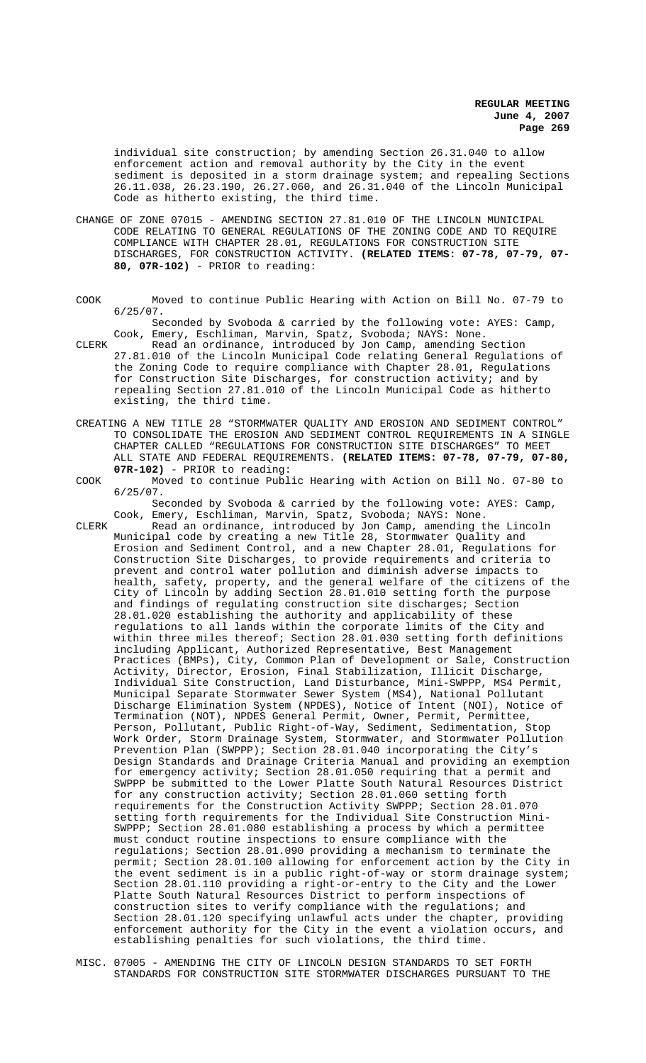individual site construction; by amending Section 26.31.040 to allow enforcement action and removal authority by the City in the event sediment is deposited in a storm drainage system; and repealing Sections 26.11.038, 26.23.190, 26.27.060, and 26.31.040 of the Lincoln Municipal Code as hitherto existing, the third time.

- CHANGE OF ZONE 07015 AMENDING SECTION 27.81.010 OF THE LINCOLN MUNICIPAL CODE RELATING TO GENERAL REGULATIONS OF THE ZONING CODE AND TO REQUIRE COMPLIANCE WITH CHAPTER 28.01, REGULATIONS FOR CONSTRUCTION SITE DISCHARGES, FOR CONSTRUCTION ACTIVITY. **(RELATED ITEMS: 07-78, 07-79, 07- 80, 07R-102)** - PRIOR to reading:
- COOK Moved to continue Public Hearing with Action on Bill No. 07-79 to 6/25/07.

Seconded by Svoboda & carried by the following vote: AYES: Camp, Cook, Emery, Eschliman, Marvin, Spatz, Svoboda; NAYS: None.

- CLERK Read an ordinance, introduced by Jon Camp, amending Section 27.81.010 of the Lincoln Municipal Code relating General Regulations of the Zoning Code to require compliance with Chapter 28.01, Regulations for Construction Site Discharges, for construction activity; and by repealing Section 27.81.010 of the Lincoln Municipal Code as hitherto existing, the third time.
- CREATING A NEW TITLE 28 "STORMWATER QUALITY AND EROSION AND SEDIMENT CONTROL" TO CONSOLIDATE THE EROSION AND SEDIMENT CONTROL REQUIREMENTS IN A SINGLE CHAPTER CALLED "REGULATIONS FOR CONSTRUCTION SITE DISCHARGES" TO MEET ALL STATE AND FEDERAL REQUIREMENTS. **(RELATED ITEMS: 07-78, 07-79, 07-80, 07R-102)** - PRIOR to reading:
- COOK Moved to continue Public Hearing with Action on Bill No. 07-80 to 6/25/07.

Seconded by Svoboda & carried by the following vote: AYES: Camp, Cook, Emery, Eschliman, Marvin, Spatz, Svoboda; NAYS: None.

- CLERK Read an ordinance, introduced by Jon Camp, amending the Lincoln Municipal code by creating a new Title 28, Stormwater Quality and Erosion and Sediment Control, and a new Chapter 28.01, Regulations for Construction Site Discharges, to provide requirements and criteria to prevent and control water pollution and diminish adverse impacts to health, safety, property, and the general welfare of the citizens of the City of Lincoln by adding Section 28.01.010 setting forth the purpose and findings of regulating construction site discharges; Section 28.01.020 establishing the authority and applicability of these regulations to all lands within the corporate limits of the City and within three miles thereof; Section 28.01.030 setting forth definitions including Applicant, Authorized Representative, Best Management Practices (BMPs), City, Common Plan of Development or Sale, Construction Activity, Director, Erosion, Final Stabilization, Illicit Discharge, Individual Site Construction, Land Disturbance, Mini-SWPPP, MS4 Permit, Municipal Separate Stormwater Sewer System (MS4), National Pollutant Discharge Elimination System (NPDES), Notice of Intent (NOI), Notice of Termination (NOT), NPDES General Permit, Owner, Permit, Permittee, Person, Pollutant, Public Right-of-Way, Sediment, Sedimentation, Stop Work Order, Storm Drainage System, Stormwater, and Stormwater Pollution Prevention Plan (SWPPP); Section 28.01.040 incorporating the City's Design Standards and Drainage Criteria Manual and providing an exemption for emergency activity; Section 28.01.050 requiring that a permit and SWPPP be submitted to the Lower Platte South Natural Resources District for any construction activity; Section 28.01.060 setting forth requirements for the Construction Activity SWPPP; Section 28.01.070 setting forth requirements for the Individual Site Construction Mini-SWPPP; Section 28.01.080 establishing a process by which a permittee must conduct routine inspections to ensure compliance with the regulations; Section 28.01.090 providing a mechanism to terminate the permit; Section 28.01.100 allowing for enforcement action by the City in the event sediment is in a public right-of-way or storm drainage system; Section 28.01.110 providing a right-or-entry to the City and the Lower Platte South Natural Resources District to perform inspections of construction sites to verify compliance with the regulations; and Section 28.01.120 specifying unlawful acts under the chapter, providing enforcement authority for the City in the event a violation occurs, and establishing penalties for such violations, the third time.
- MISC. 07005 AMENDING THE CITY OF LINCOLN DESIGN STANDARDS TO SET FORTH STANDARDS FOR CONSTRUCTION SITE STORMWATER DISCHARGES PURSUANT TO THE